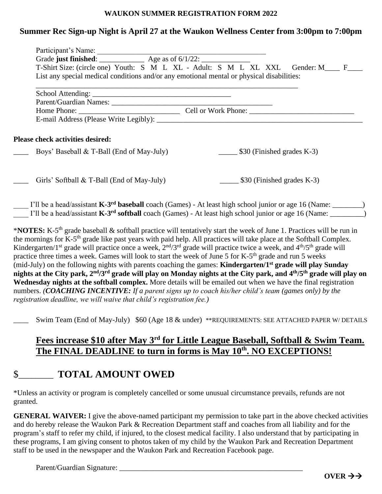#### **WAUKON SUMMER REGISTRATION FORM 2022**

#### **Summer Rec Sign-up Night is April 27 at the Waukon Wellness Center from 3:00pm to 7:00pm**

| T-Shirt Size: (circle one) Youth: S M L XL - Adult: S M L XL XXL Gender: M___ F___<br>List any special medical conditions and/or any emotional mental or physical disabilities: |                                                                                                                                                                                                                                                                                                                                                                                                                                                                                                                                                  |                                                                                                                |  |
|---------------------------------------------------------------------------------------------------------------------------------------------------------------------------------|--------------------------------------------------------------------------------------------------------------------------------------------------------------------------------------------------------------------------------------------------------------------------------------------------------------------------------------------------------------------------------------------------------------------------------------------------------------------------------------------------------------------------------------------------|----------------------------------------------------------------------------------------------------------------|--|
|                                                                                                                                                                                 |                                                                                                                                                                                                                                                                                                                                                                                                                                                                                                                                                  |                                                                                                                |  |
|                                                                                                                                                                                 |                                                                                                                                                                                                                                                                                                                                                                                                                                                                                                                                                  | Parent/Guardian Names: 1997 - 1997 - 1998 - 1998 - 1999 - 1999 - 1999 - 1999 - 1999 - 1999 - 1999 - 1999 - 199 |  |
|                                                                                                                                                                                 |                                                                                                                                                                                                                                                                                                                                                                                                                                                                                                                                                  |                                                                                                                |  |
|                                                                                                                                                                                 |                                                                                                                                                                                                                                                                                                                                                                                                                                                                                                                                                  |                                                                                                                |  |
| Please check activities desired:                                                                                                                                                |                                                                                                                                                                                                                                                                                                                                                                                                                                                                                                                                                  |                                                                                                                |  |
| Boys' Baseball & T-Ball (End of May-July)                                                                                                                                       | $\frac{1}{2}$ \$30 (Finished grades K-3)                                                                                                                                                                                                                                                                                                                                                                                                                                                                                                         |                                                                                                                |  |
| Girls' Softball & T-Ball (End of May-July)                                                                                                                                      | $\frac{1}{2}$ \$30 (Finished grades K-3)                                                                                                                                                                                                                                                                                                                                                                                                                                                                                                         |                                                                                                                |  |
|                                                                                                                                                                                 | I'll be a head/assistant $K-3^{rd}$ baseball coach (Games) - At least high school junior or age 16 (Name: _______)<br>I'll be a head/assistant K-3 <sup>rd</sup> softball coach (Games) - At least high school junior or age 16 (Name: ________)                                                                                                                                                                                                                                                                                                 |                                                                                                                |  |
| practice three times a week. Games will look to start the week of June 5 for K-5 <sup>th</sup> grade and run 5 weeks                                                            | *NOTES: K-5 <sup>th</sup> grade baseball & softball practice will tentatively start the week of June 1. Practices will be run in<br>the mornings for K-5 <sup>th</sup> grade like past years with paid help. All practices will take place at the Softball Complex.<br>Kindergarten/1 <sup>st</sup> grade will practice once a week, $2^{nd}/3^{rd}$ grade will practice twice a week, and $4^{th}/5^{th}$ grade will<br>(mid-July) on the following nights with parents coaching the games: Kindergarten/1 <sup>st</sup> grade will play Sunday |                                                                                                                |  |
|                                                                                                                                                                                 | nights at the City park, 2 <sup>nd</sup> /3 <sup>rd</sup> grade will play on Monday nights at the City park, and 4 <sup>th</sup> /5 <sup>th</sup> grade will play on                                                                                                                                                                                                                                                                                                                                                                             |                                                                                                                |  |
|                                                                                                                                                                                 | Wednesday nights at the softball complex. More details will be emailed out when we have the final registration                                                                                                                                                                                                                                                                                                                                                                                                                                   |                                                                                                                |  |
| numbers. (COACHING INCENTIVE: If a parent signs up to coach his/her child's team (games only) by the                                                                            |                                                                                                                                                                                                                                                                                                                                                                                                                                                                                                                                                  |                                                                                                                |  |
| registration deadline, we will waive that child's registration fee.)                                                                                                            |                                                                                                                                                                                                                                                                                                                                                                                                                                                                                                                                                  |                                                                                                                |  |

Swim Team (End of May-July) \$60 (Age 18 & under) \*\*REQUIREMENTS: SEE ATTACHED PAPER W/ DETAILS

### Fees increase \$10 after May 3<sup>rd</sup> for Little League Baseball, Softball & Swim Team. The FINAL DEADLINE to turn in forms is May  $10^{th}$ . NO EXCEPTIONS!

## \$\_\_\_\_\_\_\_\_ **TOTAL AMOUNT OWED**

\*Unless an activity or program is completely cancelled or some unusual circumstance prevails, refunds are not granted.

**GENERAL WAIVER:** I give the above-named participant my permission to take part in the above checked activities and do hereby release the Waukon Park & Recreation Department staff and coaches from all liability and for the program's staff to refer my child, if injured, to the closest medical facility. I also understand that by participating in these programs, I am giving consent to photos taken of my child by the Waukon Park and Recreation Department staff to be used in the newspaper and the Waukon Park and Recreation Facebook page.

Parent/Guardian Signature: